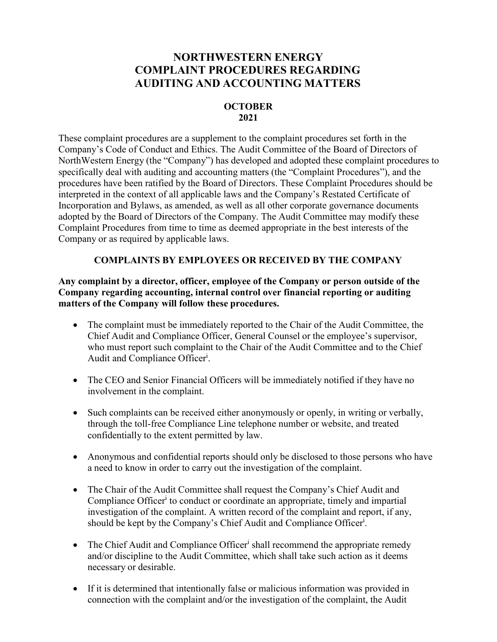## **NORTHWESTERN ENERGY COMPLAINT PROCEDURES REGARDING AUDITING AND ACCOUNTING MATTERS**

## **OCTOBER 2021**

These complaint procedures are a supplement to the complaint procedures set forth in the Company's Code of Conduct and Ethics. The Audit Committee of the Board of Directors of NorthWestern Energy (the "Company") has developed and adopted these complaint procedures to specifically deal with auditing and accounting matters (the "Complaint Procedures"), and the procedures have been ratified by the Board of Directors. These Complaint Procedures should be interpreted in the context of all applicable laws and the Company's Restated Certificate of Incorporation and Bylaws, as amended, as well as all other corporate governance documents adopted by the Board of Directors of the Company. The Audit Committee may modify these Complaint Procedures from time to time as deemed appropriate in the best interests of the Company or as required by applicable laws.

## **COMPLAINTS BY EMPLOYEES OR RECEIVED BY THE COMPANY**

**Any complaint by a director, officer, employee of the Company or person outside of the Company regarding accounting, internal control over financial reporting or auditing matters of the Company will follow these procedures.**

- The complaint must be immediately reported to the Chair of the Audit Committee, the Chief Audit and Compliance Officer, General Counsel or the employee's supervisor, who must report such complaint to the Chair of the Audit Committee and to the Chief Audit and Compliance Officer<sup>i</sup>.
- The CEO and Senior Financial Officers will be immediately notified if they have no involvement in the complaint.
- Such complaints can be received either anonymously or openly, in writing or verbally, through the toll-free Compliance Line telephone number or website, and treated confidentially to the extent permitted by law.
- Anonymous and confidential reports should only be disclosed to those persons who have a need to know in order to carry out the investigation of the complaint.
- The Chair of the Audit Committee shall request the Company's Chief Audit and Compliance Officer<sup>i</sup> to conduct or coordinate an appropriate, timely and impartial investigation of the complaint. A written record of the complaint and report, if any, should be kept by the Company's Chief Audit and Compliance Officer<sup>i</sup>.
- The Chief Audit and Compliance Officer<sup>i</sup> shall recommend the appropriate remedy and/or discipline to the Audit Committee, which shall take such action as it deems necessary or desirable.
- If it is determined that intentionally false or malicious information was provided in connection with the complaint and/or the investigation of the complaint, the Audit